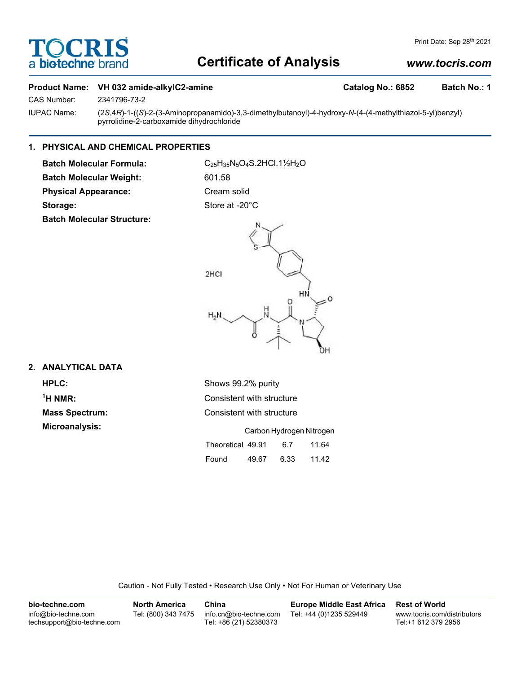# **Certificate of Analysis**

# *www.tocris.com*

## **Product Name: VH 032 amide-alkylC2-amine Catalog No.: 6852 Batch No.: 1**

CAS Number: 2341796-73-2

IUPAC Name: (2*S*,4*R*)-1-((*S*)-2-(3-Aminopropanamido)-3,3-dimethylbutanoyl)-4-hydroxy-*N*-(4-(4-methylthiazol-5-yl)benzyl) pyrrolidine-2-carboxamide dihydrochloride

# **1. PHYSICAL AND CHEMICAL PROPERTIES**

Batch Molecular Weight: 601.58 Physical Appearance: Cream solid

**TOCRIS** 

a biotechne b

**Batch Molecular Formula:** C25H35N5O4S.2HCl.1½H2O Storage: Store at -20°C





## **2. ANALYTICAL DATA**

 $<sup>1</sup>H NMR$ :</sup>

**HPLC:** Shows 99.2% purity **Consistent with structure Mass Spectrum:** Consistent with structure **Microanalysis:** Carbon Hydrogen Nitrogen Theoretical 49.91 6.7 11.64 Found 49.67 6.33 11.42

Caution - Not Fully Tested • Research Use Only • Not For Human or Veterinary Use

| bio-techne.com                                    | <b>North America</b> | China                                            | Europe Middle East Africa | <b>Rest of World</b>                               |
|---------------------------------------------------|----------------------|--------------------------------------------------|---------------------------|----------------------------------------------------|
| info@bio-techne.com<br>techsupport@bio-techne.com | Tel: (800) 343 7475  | info.cn@bio-techne.com<br>Tel: +86 (21) 52380373 | Tel: +44 (0)1235 529449   | www.tocris.com/distributors<br>Tel:+1 612 379 2956 |